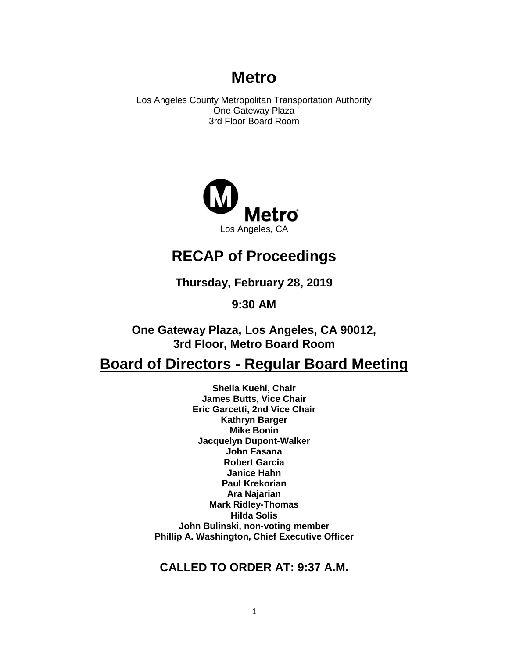# **Metro**

Los Angeles County Metropolitan Transportation Authority One Gateway Plaza 3rd Floor Board Room



# **RECAP of Proceedings**

**Thursday, February 28, 2019**

**9:30 AM**

**One Gateway Plaza, Los Angeles, CA 90012, 3rd Floor, Metro Board Room**

# **Board of Directors - Regular Board Meeting**

**Sheila Kuehl, Chair James Butts, Vice Chair Eric Garcetti, 2nd Vice Chair Kathryn Barger Mike Bonin Jacquelyn Dupont-Walker John Fasana Robert Garcia Janice Hahn Paul Krekorian Ara Najarian Mark Ridley-Thomas Hilda Solis John Bulinski, non-voting member Phillip A. Washington, Chief Executive Officer**

## **CALLED TO ORDER AT: 9:37 A.M.**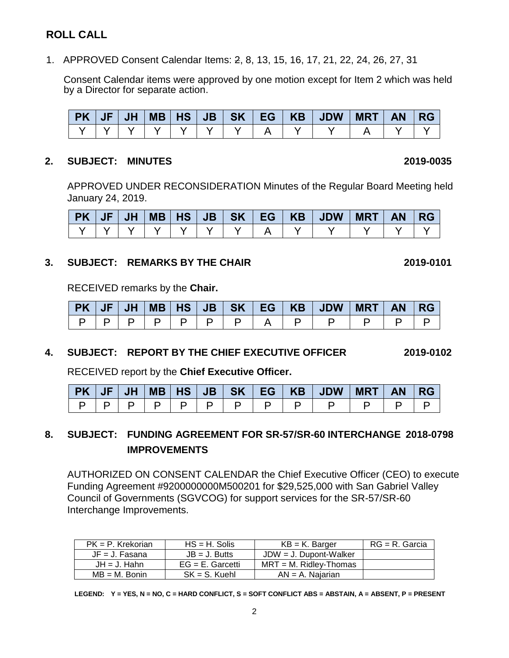## **ROLL CALL**

1. APPROVED Consent Calendar Items: 2, 8, 13, 15, 16, 17, 21, 22, 24, 26, 27, 31

Consent Calendar items were approved by one motion except for Item 2 which was held by a Director for separate action.

| $\mid$ PK $\mid$ $\mid$ | JF | <b>JH</b> | MB   HS |  |  | JB SK EG KB JDW | <b>MRT</b> | <b>AN</b> | -RG |
|-------------------------|----|-----------|---------|--|--|-----------------|------------|-----------|-----|
|                         |    |           |         |  |  |                 |            |           |     |

#### **2. SUBJECT: MINUTES 2019-0035**

APPROVED UNDER RECONSIDERATION Minutes of the Regular Board Meeting held January 24, 2019.

| <b>PK JF</b> | JH |  |  |  |  | <b>AN</b> | <b>RG</b> |
|--------------|----|--|--|--|--|-----------|-----------|
|              |    |  |  |  |  |           |           |

#### **3. SUBJECT: REMARKS BY THE CHAIR 2019-0101**

RECEIVED remarks by the **Chair.**

|                       |  |  |  |  | PK   JF   JH   MB   HS   JB   SK   EG   KB   JDW   MRT   AN   RG |  |  |
|-----------------------|--|--|--|--|------------------------------------------------------------------|--|--|
| P   P   P   P   P   P |  |  |  |  |                                                                  |  |  |

### **4. SUBJECT: REPORT BY THE CHIEF EXECUTIVE OFFICER 2019-0102**

RECEIVED report by the **Chief Executive Officer.** 

|        |  |  |  | PK   JF   JH   MB   HS   JB   SK   EG   KB   JDW   MRT   AN   RG |  |  |
|--------|--|--|--|------------------------------------------------------------------|--|--|
| $\Box$ |  |  |  |                                                                  |  |  |

## **8. SUBJECT: FUNDING AGREEMENT FOR SR-57/SR-60 INTERCHANGE 2018-0798 IMPROVEMENTS**

AUTHORIZED ON CONSENT CALENDAR the Chief Executive Officer (CEO) to execute Funding Agreement #9200000000M500201 for \$29,525,000 with San Gabriel Valley Council of Governments (SGVCOG) for support services for the SR-57/SR-60 Interchange Improvements.

| $PK = P$ . Krekorian | $HS = H$ . Solis    | $KB = K$ . Barger         | RG = R. Garcia |
|----------------------|---------------------|---------------------------|----------------|
| $JF = J. Fasana$     | $JB = J.$ Butts     | $JDW = J$ . Dupont-Walker |                |
| $JH = J$ . Hahn      | $EG = E$ . Garcetti | $MRT = M$ . Ridley-Thomas |                |
| $MB = M.$ Bonin      | $SK = S$ . Kuehl    | $AN = A$ . Najarian       |                |

**LEGEND: Y = YES, N = NO, C = HARD CONFLICT, S = SOFT CONFLICT ABS = ABSTAIN, A = ABSENT, P = PRESENT**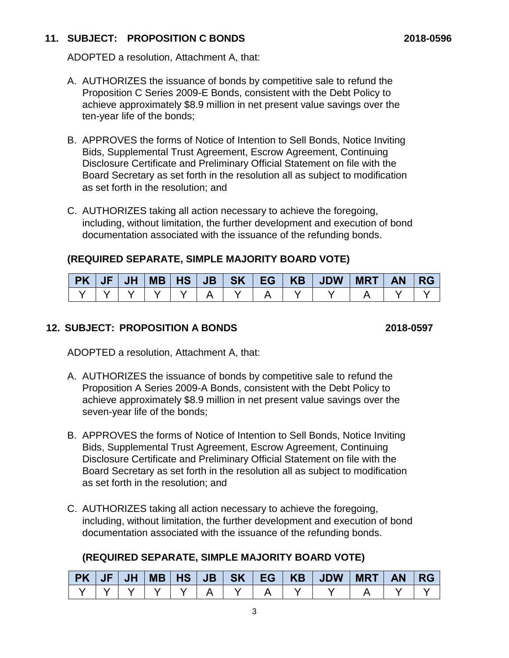### **11. SUBJECT: PROPOSITION C BONDS 2018-0596**

ADOPTED a resolution, Attachment A, that:

- A. AUTHORIZES the issuance of bonds by competitive sale to refund the Proposition C Series 2009-E Bonds, consistent with the Debt Policy to achieve approximately \$8.9 million in net present value savings over the ten-year life of the bonds;
- B. APPROVES the forms of Notice of Intention to Sell Bonds, Notice Inviting Bids, Supplemental Trust Agreement, Escrow Agreement, Continuing Disclosure Certificate and Preliminary Official Statement on file with the Board Secretary as set forth in the resolution all as subject to modification as set forth in the resolution; and
- C. AUTHORIZES taking all action necessary to achieve the foregoing, including, without limitation, the further development and execution of bond documentation associated with the issuance of the refunding bonds.

## **(REQUIRED SEPARATE, SIMPLE MAJORITY BOARD VOTE)**

|  |  |  |  | PK   JF   JH   MB   HS   JB   SK   EG   KB   JDW   MRT   AN   RG |  |  |
|--|--|--|--|------------------------------------------------------------------|--|--|
|  |  |  |  |                                                                  |  |  |

## **12. SUBJECT: PROPOSITION A BONDS 2018-0597**

ADOPTED a resolution, Attachment A, that:

- A. AUTHORIZES the issuance of bonds by competitive sale to refund the Proposition A Series 2009-A Bonds, consistent with the Debt Policy to achieve approximately \$8.9 million in net present value savings over the seven-year life of the bonds;
- B. APPROVES the forms of Notice of Intention to Sell Bonds, Notice Inviting Bids, Supplemental Trust Agreement, Escrow Agreement, Continuing Disclosure Certificate and Preliminary Official Statement on file with the Board Secretary as set forth in the resolution all as subject to modification as set forth in the resolution; and
- C. AUTHORIZES taking all action necessary to achieve the foregoing, including, without limitation, the further development and execution of bond documentation associated with the issuance of the refunding bonds.

## **(REQUIRED SEPARATE, SIMPLE MAJORITY BOARD VOTE)**

|  |  |  |  | PK   JF   JH   MB   HS   JB   SK   EG   KB   JDW   MRT   AN   RG |  |  |
|--|--|--|--|------------------------------------------------------------------|--|--|
|  |  |  |  |                                                                  |  |  |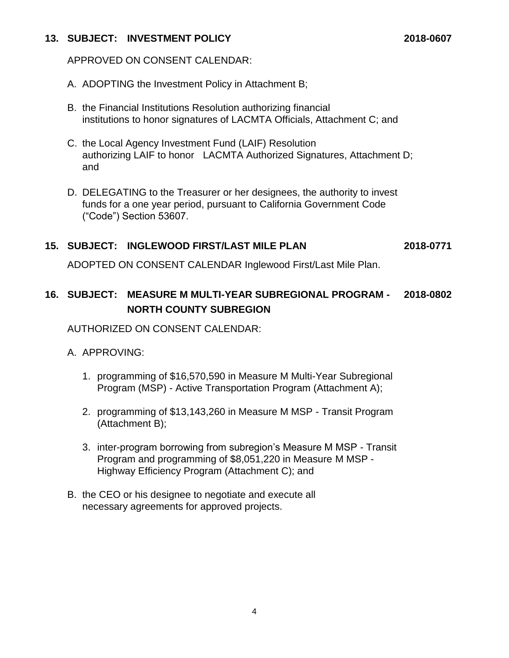#### **13. SUBJECT: INVESTMENT POLICY 2018-0607**

APPROVED ON CONSENT CALENDAR:

- A. ADOPTING the Investment Policy in Attachment B;
- B. the Financial Institutions Resolution authorizing financial institutions to honor signatures of LACMTA Officials, Attachment C; and
- C. the Local Agency Investment Fund (LAIF) Resolution authorizing LAIF to honor LACMTA Authorized Signatures, Attachment D; and
- D. DELEGATING to the Treasurer or her designees, the authority to invest funds for a one year period, pursuant to California Government Code ("Code") Section 53607.

### **15. SUBJECT: INGLEWOOD FIRST/LAST MILE PLAN 2018-0771**

ADOPTED ON CONSENT CALENDAR Inglewood First/Last Mile Plan.

## **16. SUBJECT: MEASURE M MULTI-YEAR SUBREGIONAL PROGRAM - 2018-0802 NORTH COUNTY SUBREGION**

AUTHORIZED ON CONSENT CALENDAR:

### A. APPROVING:

- 1. programming of \$16,570,590 in Measure M Multi-Year Subregional Program (MSP) - Active Transportation Program (Attachment A);
- 2. programming of \$13,143,260 in Measure M MSP Transit Program (Attachment B);
- 3. inter-program borrowing from subregion's Measure M MSP Transit Program and programming of \$8,051,220 in Measure M MSP - Highway Efficiency Program (Attachment C); and
- B. the CEO or his designee to negotiate and execute all necessary agreements for approved projects.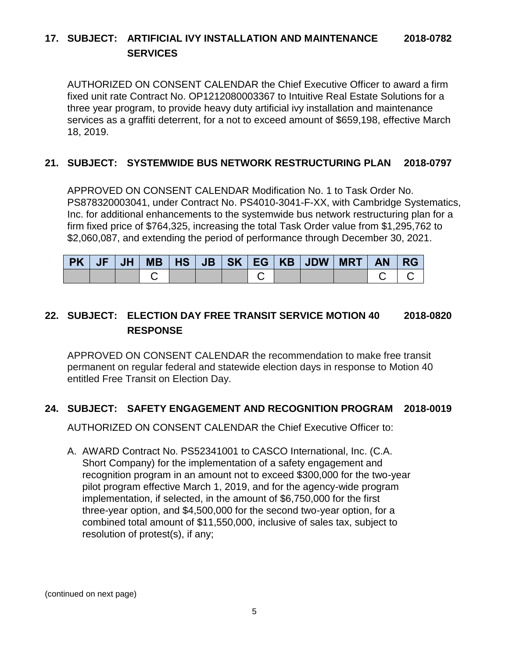## **17. SUBJECT: ARTIFICIAL IVY INSTALLATION AND MAINTENANCE 2018-0782 SERVICES**

AUTHORIZED ON CONSENT CALENDAR the Chief Executive Officer to award a firm fixed unit rate Contract No. OP1212080003367 to Intuitive Real Estate Solutions for a three year program, to provide heavy duty artificial ivy installation and maintenance services as a graffiti deterrent, for a not to exceed amount of \$659,198, effective March 18, 2019.

#### **21. SUBJECT: SYSTEMWIDE BUS NETWORK RESTRUCTURING PLAN 2018-0797**

APPROVED ON CONSENT CALENDAR Modification No. 1 to Task Order No. PS878320003041, under Contract No. PS4010-3041-F-XX, with Cambridge Systematics, Inc. for additional enhancements to the systemwide bus network restructuring plan for a firm fixed price of \$764,325, increasing the total Task Order value from \$1,295,762 to \$2,060,087, and extending the period of performance through December 30, 2021.

|  |  |  |  | PK   JF   JH   MB   HS   JB   SK   EG   KB   JDW   MRT   AN   RG |  |  |
|--|--|--|--|------------------------------------------------------------------|--|--|
|  |  |  |  |                                                                  |  |  |

## **22. SUBJECT: ELECTION DAY FREE TRANSIT SERVICE MOTION 40 2018-0820 RESPONSE**

APPROVED ON CONSENT CALENDAR the recommendation to make free transit permanent on regular federal and statewide election days in response to Motion 40 entitled Free Transit on Election Day.

#### **24. SUBJECT: SAFETY ENGAGEMENT AND RECOGNITION PROGRAM 2018-0019**

AUTHORIZED ON CONSENT CALENDAR the Chief Executive Officer to:

A. AWARD Contract No. PS52341001 to CASCO International, Inc. (C.A. Short Company) for the implementation of a safety engagement and recognition program in an amount not to exceed \$300,000 for the two-year pilot program effective March 1, 2019, and for the agency-wide program implementation, if selected, in the amount of \$6,750,000 for the first three-year option, and \$4,500,000 for the second two-year option, for a combined total amount of \$11,550,000, inclusive of sales tax, subject to resolution of protest(s), if any;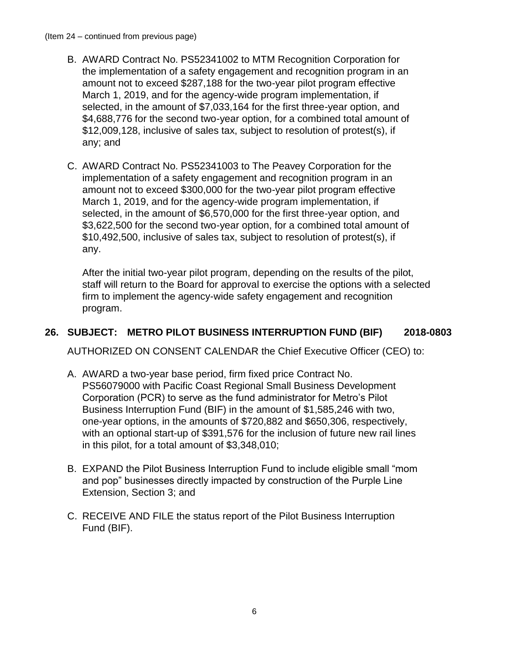- B. AWARD Contract No. PS52341002 to MTM Recognition Corporation for the implementation of a safety engagement and recognition program in an amount not to exceed \$287,188 for the two-year pilot program effective March 1, 2019, and for the agency-wide program implementation, if selected, in the amount of \$7,033,164 for the first three-year option, and \$4,688,776 for the second two-year option, for a combined total amount of \$12,009,128, inclusive of sales tax, subject to resolution of protest(s), if any; and
- C. AWARD Contract No. PS52341003 to The Peavey Corporation for the implementation of a safety engagement and recognition program in an amount not to exceed \$300,000 for the two-year pilot program effective March 1, 2019, and for the agency-wide program implementation, if selected, in the amount of \$6,570,000 for the first three-year option, and \$3,622,500 for the second two-year option, for a combined total amount of \$10,492,500, inclusive of sales tax, subject to resolution of protest(s), if any.

After the initial two-year pilot program, depending on the results of the pilot, staff will return to the Board for approval to exercise the options with a selected firm to implement the agency-wide safety engagement and recognition program.

## **26. SUBJECT: METRO PILOT BUSINESS INTERRUPTION FUND (BIF) 2018-0803**

AUTHORIZED ON CONSENT CALENDAR the Chief Executive Officer (CEO) to:

- A. AWARD a two-year base period, firm fixed price Contract No. PS56079000 with Pacific Coast Regional Small Business Development Corporation (PCR) to serve as the fund administrator for Metro's Pilot Business Interruption Fund (BIF) in the amount of \$1,585,246 with two, one-year options, in the amounts of \$720,882 and \$650,306, respectively, with an optional start-up of \$391,576 for the inclusion of future new rail lines in this pilot, for a total amount of \$3,348,010;
- B. EXPAND the Pilot Business Interruption Fund to include eligible small "mom and pop" businesses directly impacted by construction of the Purple Line Extension, Section 3; and
- C. RECEIVE AND FILE the status report of the Pilot Business Interruption Fund (BIF).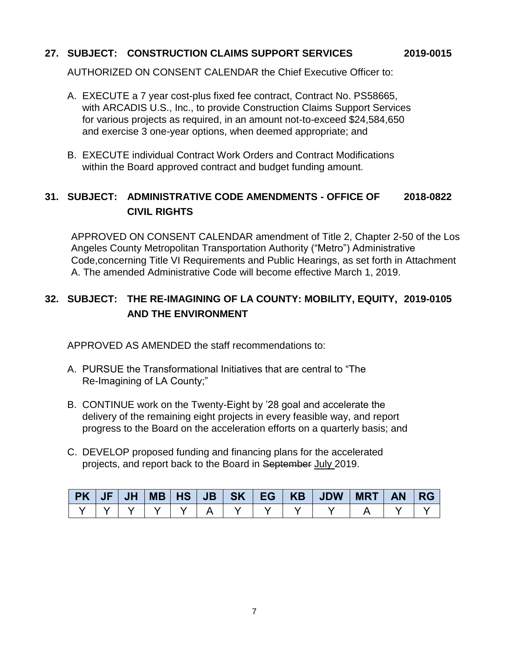### **27. SUBJECT: CONSTRUCTION CLAIMS SUPPORT SERVICES 2019-0015**

AUTHORIZED ON CONSENT CALENDAR the Chief Executive Officer to:

- A. EXECUTE a 7 year cost-plus fixed fee contract, Contract No. PS58665, with ARCADIS U.S., Inc., to provide Construction Claims Support Services for various projects as required, in an amount not-to-exceed \$24,584,650 and exercise 3 one-year options, when deemed appropriate; and
- B. EXECUTE individual Contract Work Orders and Contract Modifications within the Board approved contract and budget funding amount.

## **31. SUBJECT: ADMINISTRATIVE CODE AMENDMENTS - OFFICE OF 2018-0822 CIVIL RIGHTS**

APPROVED ON CONSENT CALENDAR amendment of Title 2, Chapter 2-50 of the Los Angeles County Metropolitan Transportation Authority ("Metro") Administrative Code,concerning Title VI Requirements and Public Hearings, as set forth in Attachment A. The amended Administrative Code will become effective March 1, 2019.

## **32. SUBJECT: THE RE-IMAGINING OF LA COUNTY: MOBILITY, EQUITY, 2019-0105 AND THE ENVIRONMENT**

APPROVED AS AMENDED the staff recommendations to:

- A. PURSUE the Transformational Initiatives that are central to "The Re-Imagining of LA County;"
- B. CONTINUE work on the Twenty-Eight by '28 goal and accelerate the delivery of the remaining eight projects in every feasible way, and report progress to the Board on the acceleration efforts on a quarterly basis; and
- C. DEVELOP proposed funding and financing plans for the accelerated projects, and report back to the Board in September July 2019.

| <b>PK JF</b> |  |  |  |  | ; JH  MB   HS   JB   SK   EG   KB   JDW   MRT | <b>AN</b> | <b>RG</b> |
|--------------|--|--|--|--|-----------------------------------------------|-----------|-----------|
|              |  |  |  |  |                                               |           |           |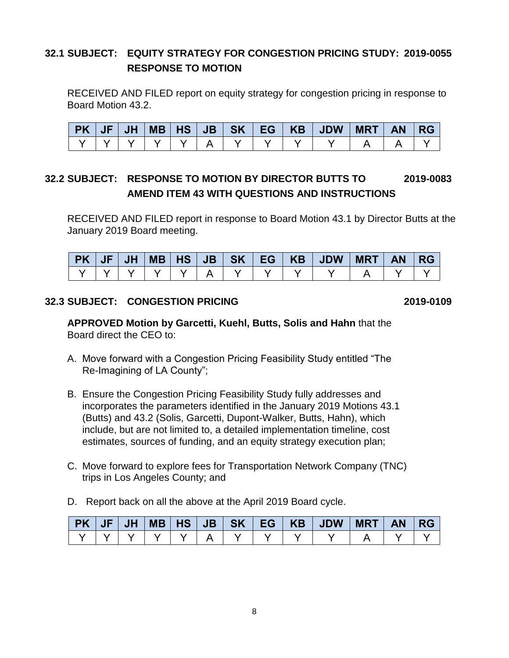## **32.1 SUBJECT: EQUITY STRATEGY FOR CONGESTION PRICING STUDY: 2019-0055 RESPONSE TO MOTION**

RECEIVED AND FILED report on equity strategy for congestion pricing in response to Board Motion 43.2.

| PK   JF   JH |  |               |  |  | MB   HS   JB   SK   EG   KB   JDW   MRT | <b>AN</b> | <b>RG</b> |
|--------------|--|---------------|--|--|-----------------------------------------|-----------|-----------|
|              |  | Y I Y I Y I A |  |  |                                         |           |           |

## **32.2 SUBJECT: RESPONSE TO MOTION BY DIRECTOR BUTTS TO 2019-0083 AMEND ITEM 43 WITH QUESTIONS AND INSTRUCTIONS**

RECEIVED AND FILED report in response to Board Motion 43.1 by Director Butts at the January 2019 Board meeting.

| PK   JF   JH <i> </i> |  |  |  |  | MB HS JB SK EG KB JDW | <b>MRT</b> | <b>AN</b> | <b>IRG</b> |
|-----------------------|--|--|--|--|-----------------------|------------|-----------|------------|
|                       |  |  |  |  |                       |            |           |            |

#### **32.3 SUBJECT: CONGESTION PRICING 2019-0109**

**APPROVED Motion by Garcetti, Kuehl, Butts, Solis and Hahn** that the Board direct the CEO to:

- A. Move forward with a Congestion Pricing Feasibility Study entitled "The Re-Imagining of LA County";
- B. Ensure the Congestion Pricing Feasibility Study fully addresses and incorporates the parameters identified in the January 2019 Motions 43.1 (Butts) and 43.2 (Solis, Garcetti, Dupont-Walker, Butts, Hahn), which include, but are not limited to, a detailed implementation timeline, cost estimates, sources of funding, and an equity strategy execution plan;
- C. Move forward to explore fees for Transportation Network Company (TNC) trips in Los Angeles County; and
- D. Report back on all the above at the April 2019 Board cycle.

| $P$ K JF | $\vert$ JH |  |  |  | MB HS JB SK EG KB JDW | MRT | <b>AN</b> | <b>RG</b> |
|----------|------------|--|--|--|-----------------------|-----|-----------|-----------|
|          |            |  |  |  |                       |     |           |           |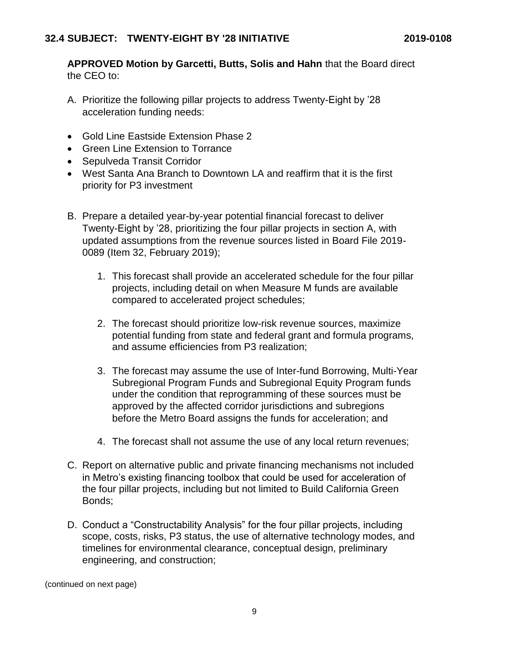**APPROVED Motion by Garcetti, Butts, Solis and Hahn** that the Board direct the CEO to:

- A. Prioritize the following pillar projects to address Twenty-Eight by '28 acceleration funding needs:
- Gold Line Eastside Extension Phase 2
- Green Line Extension to Torrance
- Sepulveda Transit Corridor
- West Santa Ana Branch to Downtown LA and reaffirm that it is the first priority for P3 investment
- B. Prepare a detailed year-by-year potential financial forecast to deliver Twenty-Eight by '28, prioritizing the four pillar projects in section A, with updated assumptions from the revenue sources listed in Board File 2019- 0089 (Item 32, February 2019);
	- 1. This forecast shall provide an accelerated schedule for the four pillar projects, including detail on when Measure M funds are available compared to accelerated project schedules;
	- 2. The forecast should prioritize low-risk revenue sources, maximize potential funding from state and federal grant and formula programs, and assume efficiencies from P3 realization;
	- 3. The forecast may assume the use of Inter-fund Borrowing, Multi-Year Subregional Program Funds and Subregional Equity Program funds under the condition that reprogramming of these sources must be approved by the affected corridor jurisdictions and subregions before the Metro Board assigns the funds for acceleration; and
	- 4. The forecast shall not assume the use of any local return revenues;
- C. Report on alternative public and private financing mechanisms not included in Metro's existing financing toolbox that could be used for acceleration of the four pillar projects, including but not limited to Build California Green Bonds;
- D. Conduct a "Constructability Analysis" for the four pillar projects, including scope, costs, risks, P3 status, the use of alternative technology modes, and timelines for environmental clearance, conceptual design, preliminary engineering, and construction;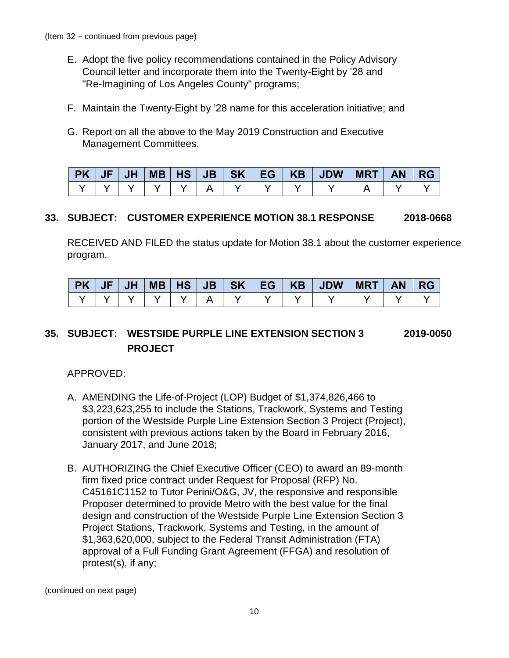- E. Adopt the five policy recommendations contained in the Policy Advisory Council letter and incorporate them into the Twenty-Eight by '28 and "Re-Imagining of Los Angeles County" programs;
- F. Maintain the Twenty-Eight by '28 name for this acceleration initiative; and
- G. Report on all the above to the May 2019 Construction and Executive Management Committees.

| <b>PK</b> | JF | <b>JH</b> | <b>MB   HS</b> | JB |  | SK EG   KB   JDW | <b>MRT</b> | <b>AN</b> | -RG |
|-----------|----|-----------|----------------|----|--|------------------|------------|-----------|-----|
|           |    |           |                |    |  |                  |            |           |     |

#### **33. SUBJECT: CUSTOMER EXPERIENCE MOTION 38.1 RESPONSE 2018-0668**

RECEIVED AND FILED the status update for Motion 38.1 about the customer experience program.

| <b>PK</b> | IE | <b>JH</b> | <b>MB</b> | H <sub>S</sub> | JB | <b>SK</b> | EG | <b>KB</b> | <b>JDW</b> | <b>MRT</b> | <b>AN</b> |  |
|-----------|----|-----------|-----------|----------------|----|-----------|----|-----------|------------|------------|-----------|--|
|           |    |           |           |                |    |           |    |           |            |            |           |  |

## **35. SUBJECT: WESTSIDE PURPLE LINE EXTENSION SECTION 3 2019-0050 PROJECT**

APPROVED:

- A. AMENDING the Life-of-Project (LOP) Budget of \$1,374,826,466 to \$3,223,623,255 to include the Stations, Trackwork, Systems and Testing portion of the Westside Purple Line Extension Section 3 Project (Project), consistent with previous actions taken by the Board in February 2016, January 2017, and June 2018;
- B. AUTHORIZING the Chief Executive Officer (CEO) to award an 89-month firm fixed price contract under Request for Proposal (RFP) No. C45161C1152 to Tutor Perini/O&G, JV, the responsive and responsible Proposer determined to provide Metro with the best value for the final design and construction of the Westside Purple Line Extension Section 3 Project Stations, Trackwork, Systems and Testing, in the amount of \$1,363,620,000, subject to the Federal Transit Administration (FTA) approval of a Full Funding Grant Agreement (FFGA) and resolution of protest(s), if any;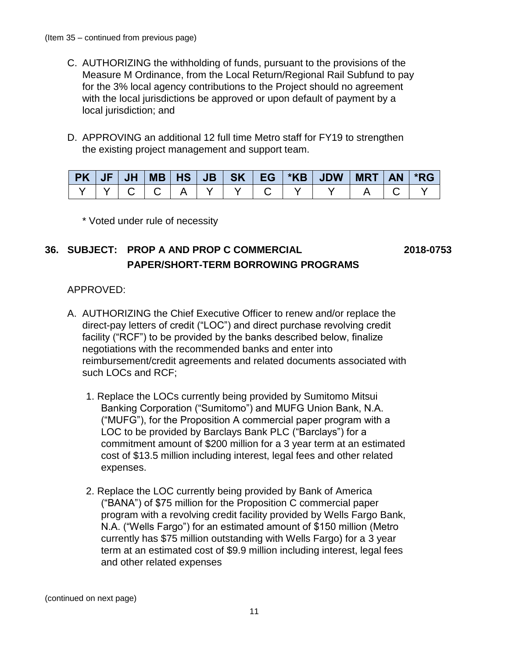- C. AUTHORIZING the withholding of funds, pursuant to the provisions of the Measure M Ordinance, from the Local Return/Regional Rail Subfund to pay for the 3% local agency contributions to the Project should no agreement with the local jurisdictions be approved or upon default of payment by a local jurisdiction; and
- D. APPROVING an additional 12 full time Metro staff for FY19 to strengthen the existing project management and support team.

|  |  |  |  | PK   JF   JH   MB   HS   JB   SK   EG   *KB   JDW   MRT   AN   *RG |  |  |
|--|--|--|--|--------------------------------------------------------------------|--|--|
|  |  |  |  | Y   Y   C   C   A   Y   Y   C   Y   Y   A   C                      |  |  |

\* Voted under rule of necessity

## **36. SUBJECT: PROP A AND PROP C COMMERCIAL 2018-0753 PAPER/SHORT-TERM BORROWING PROGRAMS**

#### APPROVED:

- A. AUTHORIZING the Chief Executive Officer to renew and/or replace the direct-pay letters of credit ("LOC") and direct purchase revolving credit facility ("RCF") to be provided by the banks described below, finalize negotiations with the recommended banks and enter into reimbursement/credit agreements and related documents associated with such LOCs and RCF;
	- 1. Replace the LOCs currently being provided by Sumitomo Mitsui Banking Corporation ("Sumitomo") and MUFG Union Bank, N.A. ("MUFG"), for the Proposition A commercial paper program with a LOC to be provided by Barclays Bank PLC ("Barclays") for a commitment amount of \$200 million for a 3 year term at an estimated cost of \$13.5 million including interest, legal fees and other related expenses.
	- 2. Replace the LOC currently being provided by Bank of America ("BANA") of \$75 million for the Proposition C commercial paper program with a revolving credit facility provided by Wells Fargo Bank, N.A. ("Wells Fargo") for an estimated amount of \$150 million (Metro currently has \$75 million outstanding with Wells Fargo) for a 3 year term at an estimated cost of \$9.9 million including interest, legal fees and other related expenses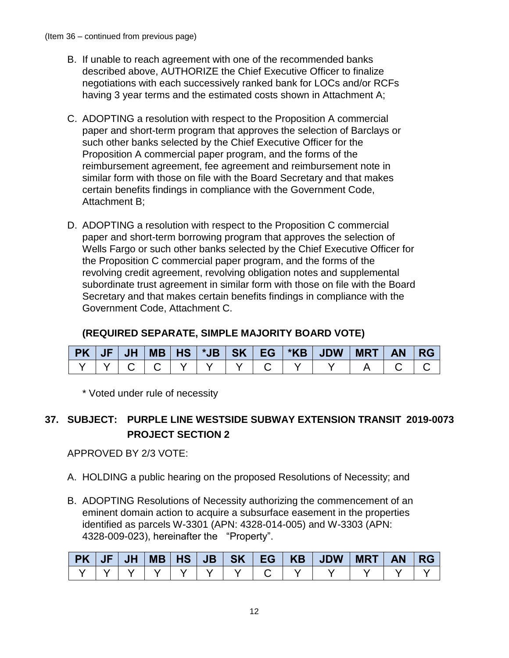- B. If unable to reach agreement with one of the recommended banks described above, AUTHORIZE the Chief Executive Officer to finalize negotiations with each successively ranked bank for LOCs and/or RCFs having 3 year terms and the estimated costs shown in Attachment A;
- C. ADOPTING a resolution with respect to the Proposition A commercial paper and short-term program that approves the selection of Barclays or such other banks selected by the Chief Executive Officer for the Proposition A commercial paper program, and the forms of the reimbursement agreement, fee agreement and reimbursement note in similar form with those on file with the Board Secretary and that makes certain benefits findings in compliance with the Government Code, Attachment B;
- D. ADOPTING a resolution with respect to the Proposition C commercial paper and short-term borrowing program that approves the selection of Wells Fargo or such other banks selected by the Chief Executive Officer for the Proposition C commercial paper program, and the forms of the revolving credit agreement, revolving obligation notes and supplemental subordinate trust agreement in similar form with those on file with the Board Secretary and that makes certain benefits findings in compliance with the Government Code, Attachment C.

## **(REQUIRED SEPARATE, SIMPLE MAJORITY BOARD VOTE)**

| $PK$ $JF$ |  |  |  |  |  |  |
|-----------|--|--|--|--|--|--|
|           |  |  |  |  |  |  |

\* Voted under rule of necessity

## **37. SUBJECT: PURPLE LINE WESTSIDE SUBWAY EXTENSION TRANSIT 2019-0073 PROJECT SECTION 2**

APPROVED BY 2/3 VOTE:

- A. HOLDING a public hearing on the proposed Resolutions of Necessity; and
- B. ADOPTING Resolutions of Necessity authorizing the commencement of an eminent domain action to acquire a subsurface easement in the properties identified as parcels W-3301 (APN: 4328-014-005) and W-3303 (APN: 4328-009-023), hereinafter the "Property".

|  |  |  |  | PK   JF   JH   MB   HS   JB   SK   EG   KB   JDW   MRT   AN   RG |  |  |
|--|--|--|--|------------------------------------------------------------------|--|--|
|  |  |  |  |                                                                  |  |  |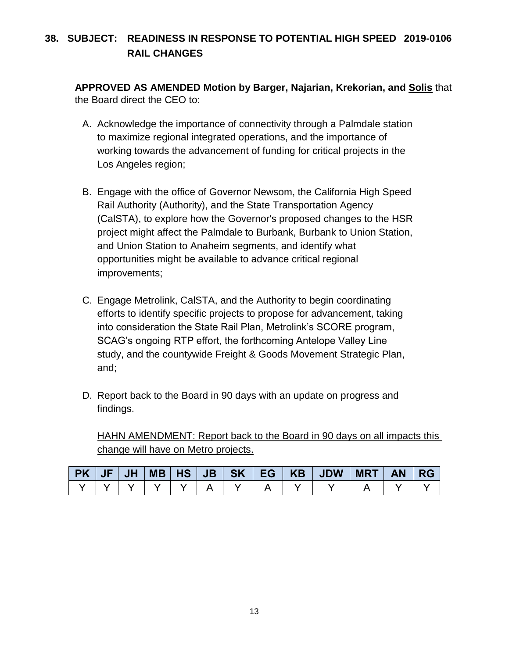## **38. SUBJECT: READINESS IN RESPONSE TO POTENTIAL HIGH SPEED 2019-0106 RAIL CHANGES**

**APPROVED AS AMENDED Motion by Barger, Najarian, Krekorian, and Solis** that the Board direct the CEO to:

- A. Acknowledge the importance of connectivity through a Palmdale station to maximize regional integrated operations, and the importance of working towards the advancement of funding for critical projects in the Los Angeles region;
- B. Engage with the office of Governor Newsom, the California High Speed Rail Authority (Authority), and the State Transportation Agency (CalSTA), to explore how the Governor's proposed changes to the HSR project might affect the Palmdale to Burbank, Burbank to Union Station, and Union Station to Anaheim segments, and identify what opportunities might be available to advance critical regional improvements;
- C. Engage Metrolink, CalSTA, and the Authority to begin coordinating efforts to identify specific projects to propose for advancement, taking into consideration the State Rail Plan, Metrolink's SCORE program, SCAG's ongoing RTP effort, the forthcoming Antelope Valley Line study, and the countywide Freight & Goods Movement Strategic Plan, and;
- D. Report back to the Board in 90 days with an update on progress and findings.

HAHN AMENDMENT: Report back to the Board in 90 days on all impacts this change will have on Metro projects.

|  |                         |  |  | PK   JF   JH   MB   HS   JB   SK   EG   KB   JDW   / | $MRT$ $AN$ $RG$ |  |
|--|-------------------------|--|--|------------------------------------------------------|-----------------|--|
|  | $\mathbf{Y} \mathbf{Y}$ |  |  |                                                      |                 |  |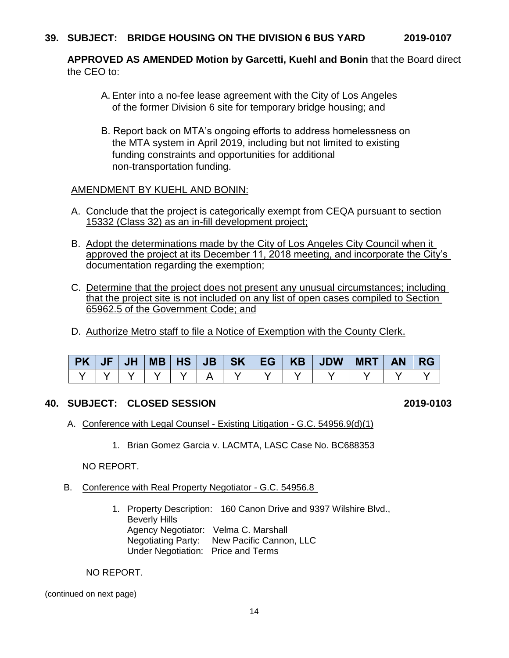**APPROVED AS AMENDED Motion by Garcetti, Kuehl and Bonin** that the Board direct the CEO to:

- A. Enter into a no-fee lease agreement with the City of Los Angeles of the former Division 6 site for temporary bridge housing; and
- B. Report back on MTA's ongoing efforts to address homelessness on the MTA system in April 2019, including but not limited to existing funding constraints and opportunities for additional non-transportation funding.

#### AMENDMENT BY KUEHL AND BONIN:

- A. Conclude that the project is categorically exempt from CEQA pursuant to section 15332 (Class 32) as an in-fill development project;
- B. Adopt the determinations made by the City of Los Angeles City Council when it approved the project at its December 11, 2018 meeting, and incorporate the City's documentation regarding the exemption;
- C. Determine that the project does not present any unusual circumstances; including that the project site is not included on any list of open cases compiled to Section 65962.5 of the Government Code; and
- D. Authorize Metro staff to file a Notice of Exemption with the County Clerk.

|  |  |  |  | PK   JF   JH   MB   HS   JB   SK   EG   KB   JDW   MRT   AN   RG |  |  |
|--|--|--|--|------------------------------------------------------------------|--|--|
|  |  |  |  |                                                                  |  |  |

#### **40. SUBJECT: CLOSED SESSION 2019-0103**

- A. Conference with Legal Counsel Existing Litigation G.C. 54956.9(d)(1)
	- 1. Brian Gomez Garcia v. LACMTA, LASC Case No. BC688353

#### NO REPORT.

- B. Conference with Real Property Negotiator G.C. 54956.8
	- 1. Property Description: 160 Canon Drive and 9397 Wilshire Blvd., Beverly Hills Agency Negotiator: Velma C. Marshall Negotiating Party: New Pacific Cannon, LLC Under Negotiation: Price and Terms

NO REPORT.